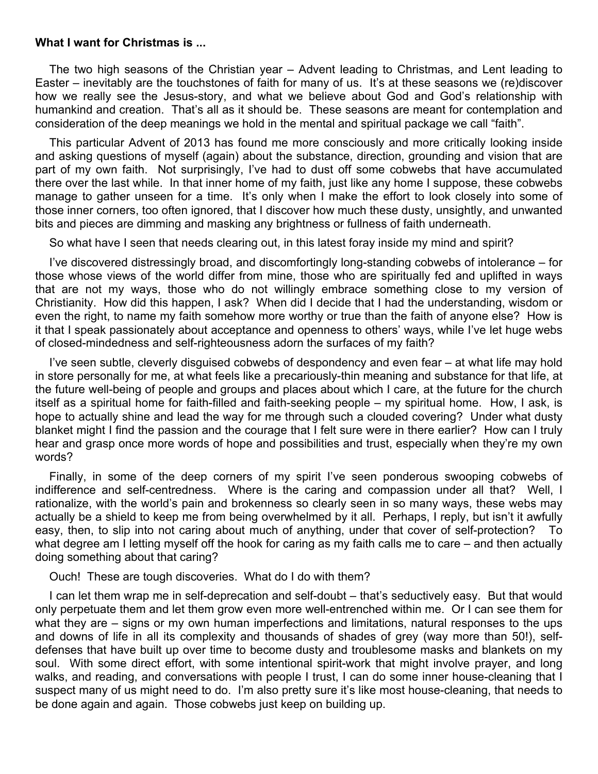## **What I want for Christmas is ...**

The two high seasons of the Christian year – Advent leading to Christmas, and Lent leading to Easter – inevitably are the touchstones of faith for many of us. It's at these seasons we (re)discover how we really see the Jesus-story, and what we believe about God and God's relationship with humankind and creation. That's all as it should be. These seasons are meant for contemplation and consideration of the deep meanings we hold in the mental and spiritual package we call "faith".

This particular Advent of 2013 has found me more consciously and more critically looking inside and asking questions of myself (again) about the substance, direction, grounding and vision that are part of my own faith. Not surprisingly, I've had to dust off some cobwebs that have accumulated there over the last while. In that inner home of my faith, just like any home I suppose, these cobwebs manage to gather unseen for a time. It's only when I make the effort to look closely into some of those inner corners, too often ignored, that I discover how much these dusty, unsightly, and unwanted bits and pieces are dimming and masking any brightness or fullness of faith underneath.

So what have I seen that needs clearing out, in this latest foray inside my mind and spirit?

I've discovered distressingly broad, and discomfortingly long-standing cobwebs of intolerance – for those whose views of the world differ from mine, those who are spiritually fed and uplifted in ways that are not my ways, those who do not willingly embrace something close to my version of Christianity. How did this happen, I ask? When did I decide that I had the understanding, wisdom or even the right, to name my faith somehow more worthy or true than the faith of anyone else? How is it that I speak passionately about acceptance and openness to others' ways, while I've let huge webs of closed-mindedness and self-righteousness adorn the surfaces of my faith?

I've seen subtle, cleverly disguised cobwebs of despondency and even fear – at what life may hold in store personally for me, at what feels like a precariously-thin meaning and substance for that life, at the future well-being of people and groups and places about which I care, at the future for the church itself as a spiritual home for faith-filled and faith-seeking people – my spiritual home. How, I ask, is hope to actually shine and lead the way for me through such a clouded covering? Under what dusty blanket might I find the passion and the courage that I felt sure were in there earlier? How can I truly hear and grasp once more words of hope and possibilities and trust, especially when they're my own words?

Finally, in some of the deep corners of my spirit I've seen ponderous swooping cobwebs of indifference and self-centredness. Where is the caring and compassion under all that? Well, I rationalize, with the world's pain and brokenness so clearly seen in so many ways, these webs may actually be a shield to keep me from being overwhelmed by it all. Perhaps, I reply, but isn't it awfully easy, then, to slip into not caring about much of anything, under that cover of self-protection? To what degree am I letting myself off the hook for caring as my faith calls me to care – and then actually doing something about that caring?

Ouch! These are tough discoveries. What do I do with them?

I can let them wrap me in self-deprecation and self-doubt – that's seductively easy. But that would only perpetuate them and let them grow even more well-entrenched within me. Or I can see them for what they are – signs or my own human imperfections and limitations, natural responses to the ups and downs of life in all its complexity and thousands of shades of grey (way more than 50!), selfdefenses that have built up over time to become dusty and troublesome masks and blankets on my soul. With some direct effort, with some intentional spirit-work that might involve prayer, and long walks, and reading, and conversations with people I trust, I can do some inner house-cleaning that I suspect many of us might need to do. I'm also pretty sure it's like most house-cleaning, that needs to be done again and again. Those cobwebs just keep on building up.